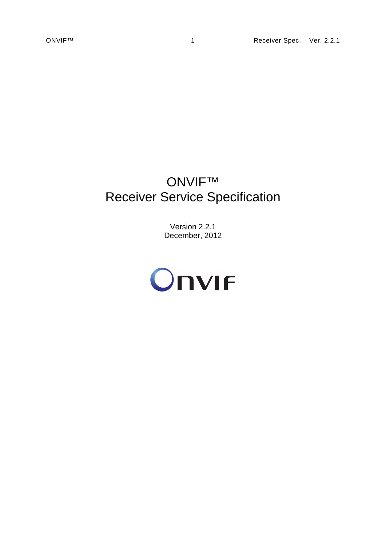# ONVIF™ Receiver Service Specification

Version 2.2.1 December, 2012

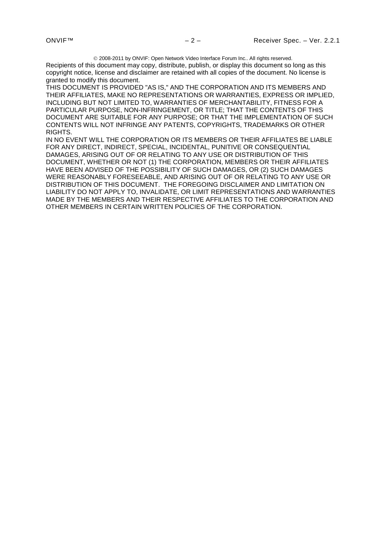2008-2011 by ONVIF: Open Network Video Interface Forum Inc.. All rights reserved.

Recipients of this document may copy, distribute, publish, or display this document so long as this copyright notice, license and disclaimer are retained with all copies of the document. No license is granted to modify this document.

THIS DOCUMENT IS PROVIDED "AS IS," AND THE CORPORATION AND ITS MEMBERS AND THEIR AFFILIATES, MAKE NO REPRESENTATIONS OR WARRANTIES, EXPRESS OR IMPLIED, INCLUDING BUT NOT LIMITED TO, WARRANTIES OF MERCHANTABILITY, FITNESS FOR A PARTICULAR PURPOSE, NON-INFRINGEMENT, OR TITLE; THAT THE CONTENTS OF THIS DOCUMENT ARE SUITABLE FOR ANY PURPOSE; OR THAT THE IMPLEMENTATION OF SUCH CONTENTS WILL NOT INFRINGE ANY PATENTS, COPYRIGHTS, TRADEMARKS OR OTHER RIGHTS.

IN NO EVENT WILL THE CORPORATION OR ITS MEMBERS OR THEIR AFFILIATES BE LIABLE FOR ANY DIRECT, INDIRECT, SPECIAL, INCIDENTAL, PUNITIVE OR CONSEQUENTIAL DAMAGES, ARISING OUT OF OR RELATING TO ANY USE OR DISTRIBUTION OF THIS DOCUMENT, WHETHER OR NOT (1) THE CORPORATION, MEMBERS OR THEIR AFFILIATES HAVE BEEN ADVISED OF THE POSSIBILITY OF SUCH DAMAGES, OR (2) SUCH DAMAGES WERE REASONABLY FORESEEABLE, AND ARISING OUT OF OR RELATING TO ANY USE OR DISTRIBUTION OF THIS DOCUMENT. THE FOREGOING DISCLAIMER AND LIMITATION ON LIABILITY DO NOT APPLY TO, INVALIDATE, OR LIMIT REPRESENTATIONS AND WARRANTIES MADE BY THE MEMBERS AND THEIR RESPECTIVE AFFILIATES TO THE CORPORATION AND OTHER MEMBERS IN CERTAIN WRITTEN POLICIES OF THE CORPORATION.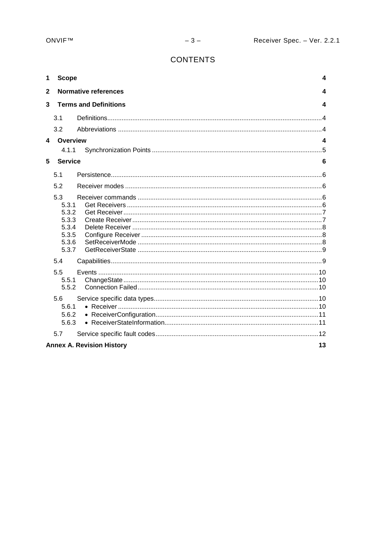# **CONTENTS**

| 1            | <b>Scope</b>                                                       |                                  | 4  |
|--------------|--------------------------------------------------------------------|----------------------------------|----|
| $\mathbf{2}$ |                                                                    | <b>Normative references</b>      | 4  |
| 3            |                                                                    | <b>Terms and Definitions</b>     | 4  |
|              | 3.1                                                                |                                  |    |
|              | 3.2                                                                |                                  |    |
| 4            | Overview                                                           |                                  | 4  |
|              | 4.1.1                                                              |                                  |    |
| 5            | <b>Service</b>                                                     |                                  | 6  |
|              | 5.1                                                                |                                  |    |
|              | 5.2                                                                |                                  |    |
|              | 5.3<br>5.3.1<br>5.3.2<br>5.3.3<br>5.3.4<br>5.3.5<br>5.3.6<br>5.3.7 |                                  |    |
|              | 5.4                                                                |                                  |    |
|              | 5.5<br>5.5.1<br>5.5.2                                              |                                  |    |
|              | 5.6<br>5.6.1<br>5.6.2<br>5.6.3                                     |                                  |    |
|              | 5.7                                                                |                                  |    |
|              |                                                                    | <b>Annex A. Revision History</b> | 13 |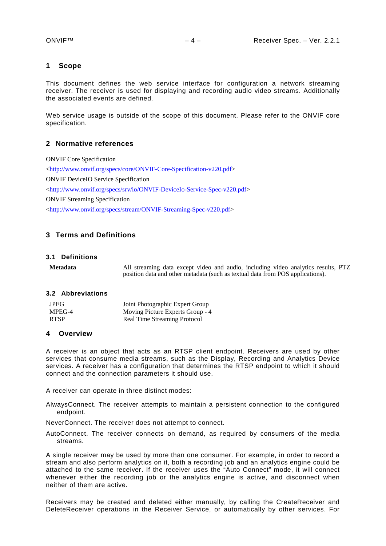#### <span id="page-3-0"></span>**1 Scope**

This document defines the web service interface for configuration a network streaming receiver. The receiver is used for displaying and recording audio video streams. Additionally the associated events are defined.

Web service usage is outside of the scope of this document. Please refer to the ONVIF core specification.

#### <span id="page-3-1"></span>**2 Normative references**

ONVIF Core Specification [<http://www.onvif.org/specs/core/ONVIF-Core-Specification-v220.pdf>](http://www.onvif.org/specs/core/ONVIF-Core-Specification-v211.pdf) ONVIF DeviceIO Service Specification [<http://www.onvif.org/specs/srv/io/ONVIF-DeviceIo-Service-Spec-v220.pdf>](http://www.onvif.org/specs/srv/io/ONVIF-DeviceIo-Service-Spec-v211.pdf) ONVIF Streaming Specification [<http://www.onvif.org/specs/stream/ONVIF-Streaming-Spec-v220.pdf>](http://www.onvif.org/specs/stream/ONVIF-Streaming-Spec-v211.pdf)

# <span id="page-3-2"></span>**3 Terms and Definitions**

#### <span id="page-3-3"></span>**3.1 Definitions**

**Metadata** All streaming data except video and audio, including video analytics results, PTZ position data and other metadata (such as textual data from POS applications).

#### <span id="page-3-4"></span>**3.2 Abbreviations**

| JPEG        | Joint Photographic Expert Group  |
|-------------|----------------------------------|
| MPEG-4      | Moving Picture Experts Group - 4 |
| <b>RTSP</b> | Real Time Streaming Protocol     |

#### <span id="page-3-5"></span>**4 Overview**

A receiver is an object that acts as an RTSP client endpoint. Receivers are used by other services that consume media streams, such as the Display, Recording and Analytics Device services. A receiver has a configuration that determines the RTSP endpoint to which it should connect and the connection parameters it should use.

A receiver can operate in three distinct modes:

AlwaysConnect. The receiver attempts to maintain a persistent connection to the configured endpoint.

NeverConnect. The receiver does not attempt to connect.

AutoConnect. The receiver connects on demand, as required by consumers of the media streams.

A single receiver may be used by more than one consumer. For example, in order to record a stream and also perform analytics on it, both a recording job and an analytics engine could be attached to the same receiver. If the receiver uses the "Auto Connect" mode, it will connect whenever either the recording job or the analytics engine is active, and disconnect when neither of them are active.

Receivers may be created and deleted either manually, by calling the CreateReceiver and DeleteReceiver operations in the Receiver Service, or automatically by other services. For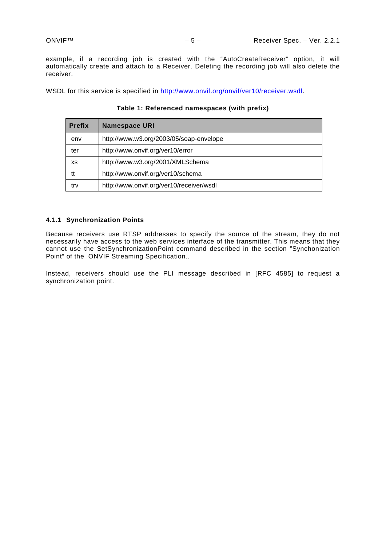example, if a recording job is created with the "AutoCreateReceiver" option, it will automatically create and attach to a Receiver. Deleting the recording job will also delete the receiver.

WSDL for this service is specified in [http://www.onvif.org/onvif/ver10/receiver.wsdl.](http://www.onvif.org/onvif/ver10/receiver.wsdl)

| <b>Prefix</b> | <b>Namespace URI</b>                     |  |
|---------------|------------------------------------------|--|
| env           | http://www.w3.org/2003/05/soap-envelope  |  |
| ter           | http://www.onvif.org/ver10/error         |  |
| XS            | http://www.w3.org/2001/XMLSchema         |  |
| tt            | http://www.onvif.org/ver10/schema        |  |
| trv           | http://www.onvif.org/ver10/receiver/wsdl |  |

**Table 1: Referenced namespaces (with prefix)**

#### <span id="page-4-0"></span>**4.1.1 Synchronization Points**

Because receivers use RTSP addresses to specify the source of the stream, they do not necessarily have access to the web services interface of the transmitter. This means that they cannot use the SetSynchronizationPoint command described in the section "Synchonization Point" of the ONVIF Streaming Specification..

Instead, receivers should use the PLI message described in [RFC 4585] to request a synchronization point.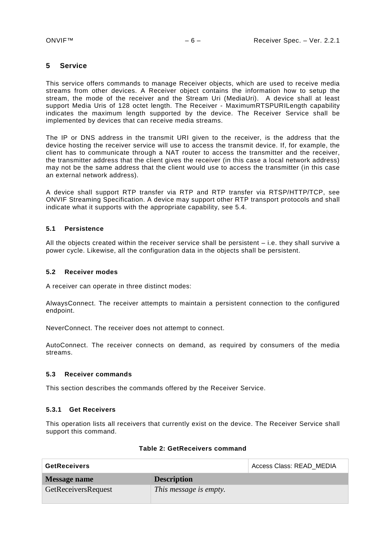# <span id="page-5-0"></span>**5 Service**

This service offers commands to manage Receiver objects, which are used to receive media streams from other devices. A Receiver object contains the information how to setup the stream, the mode of the receiver and the Stream Uri (MediaUri). A device shall at least support Media Uris of 128 octet length. The Receiver - MaximumRTSPURILength capability indicates the maximum length supported by the device. The Receiver Service shall be implemented by devices that can receive media streams.

The IP or DNS address in the transmit URI given to the receiver, is the address that the device hosting the receiver service will use to access the transmit device. If, for example, the client has to communicate through a NAT router to access the transmitter and the receiver, the transmitter address that the client gives the receiver (in this case a local network address) may not be the same address that the client would use to access the transmitter (in this case an external network address).

A device shall support RTP transfer via RTP and RTP transfer via RTSP/HTTP/TCP, see ONVIF Streaming Specification. A device may support other RTP transport protocols and shall indicate what it supports with the appropriate capability, see [5.4.](#page-8-1)

# <span id="page-5-1"></span>**5.1 Persistence**

All the objects created within the receiver service shall be persistent  $-$  i.e. they shall survive a power cycle. Likewise, all the configuration data in the objects shall be persistent.

#### <span id="page-5-2"></span>**5.2 Receiver modes**

A receiver can operate in three distinct modes:

AlwaysConnect. The receiver attempts to maintain a persistent connection to the configured endpoint.

NeverConnect. The receiver does not attempt to connect.

AutoConnect. The receiver connects on demand, as required by consumers of the media streams.

#### <span id="page-5-3"></span>**5.3 Receiver commands**

This section describes the commands offered by the Receiver Service.

#### <span id="page-5-4"></span>**5.3.1 Get Receivers**

This operation lists all receivers that currently exist on the device. The Receiver Service shall support this command.

| <b>GetReceivers</b>        |                        | Access Class: READ MEDIA |
|----------------------------|------------------------|--------------------------|
| Message name               | <b>Description</b>     |                          |
| <b>GetReceiversRequest</b> | This message is empty. |                          |

#### **Table 2: GetReceivers command**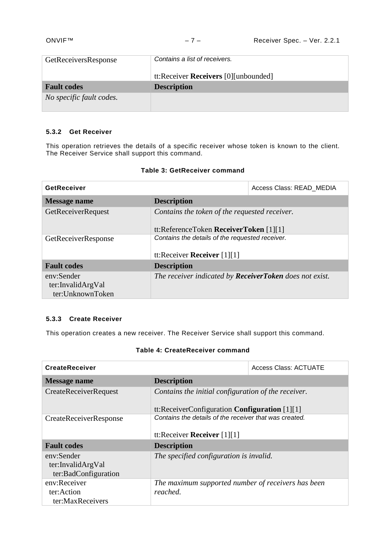| GetReceiversResponse     | Contains a list of receivers.        |
|--------------------------|--------------------------------------|
|                          | tt:Receiver Receivers [0][unbounded] |
| <b>Fault codes</b>       | <b>Description</b>                   |
| No specific fault codes. |                                      |

# <span id="page-6-0"></span>**5.3.2 Get Receiver**

This operation retrieves the details of a specific receiver whose token is known to the client. The Receiver Service shall support this command.

|  | Table 3: GetReceiver command |  |
|--|------------------------------|--|
|--|------------------------------|--|

| GetReceiver                                                                                                   |                                                                                  | Access Class: READ MEDIA |
|---------------------------------------------------------------------------------------------------------------|----------------------------------------------------------------------------------|--------------------------|
| <b>Message name</b>                                                                                           | <b>Description</b>                                                               |                          |
| GetReceiverRequest<br>Contains the token of the requested receiver.<br>tt:ReferenceToken ReceiverToken [1][1] |                                                                                  |                          |
| GetReceiverResponse                                                                                           | Contains the details of the requested receiver.<br>tt:Receiver Receiver $[1][1]$ |                          |
| <b>Fault codes</b>                                                                                            | <b>Description</b>                                                               |                          |
| env:Sender<br>ter:InvalidArgVal<br>ter:UnknownToken                                                           | The receiver indicated by <b>ReceiverToken</b> does not exist.                   |                          |

# <span id="page-6-1"></span>**5.3.3 Create Receiver**

This operation creates a new receiver. The Receiver Service shall support this command.

# **Table 4: CreateReceiver command**

| <b>CreateReceiver</b>                                   |                                                                                                           | <b>Access Class: ACTUATE</b> |  |
|---------------------------------------------------------|-----------------------------------------------------------------------------------------------------------|------------------------------|--|
| <b>Message name</b>                                     | <b>Description</b>                                                                                        |                              |  |
| <b>CreateReceiverRequest</b>                            | Contains the initial configuration of the receiver.                                                       |                              |  |
| CreateReceiverResponse                                  | tt:ReceiverConfiguration Configuration $[1][1]$<br>Contains the details of the receiver that was created. |                              |  |
|                                                         | tt:Receiver Receiver $[1][1]$                                                                             |                              |  |
| <b>Fault codes</b>                                      | <b>Description</b>                                                                                        |                              |  |
| env:Sender<br>ter:InvalidArgVal<br>ter:BadConfiguration | The specified configuration is invalid.                                                                   |                              |  |
| env:Receiver                                            | The maximum supported number of receivers has been                                                        |                              |  |
| ter:Action                                              | reached.                                                                                                  |                              |  |
| ter:MaxReceivers                                        |                                                                                                           |                              |  |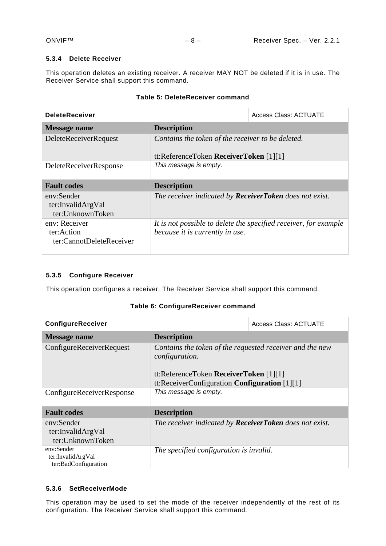# <span id="page-7-0"></span>**5.3.4 Delete Receiver**

This operation deletes an existing receiver. A receiver MAY NOT be deleted if it is in use. The Receiver Service shall support this command.

| <b>DeleteReceiver</b>                                   |                                                                                             | Access Class: ACTUATE                                            |
|---------------------------------------------------------|---------------------------------------------------------------------------------------------|------------------------------------------------------------------|
| Message name                                            | <b>Description</b>                                                                          |                                                                  |
| <b>DeleteReceiverRequest</b>                            | Contains the token of the receiver to be deleted.<br>tt:ReferenceToken ReceiverToken [1][1] |                                                                  |
| <b>DeleteReceiverResponse</b>                           | This message is empty.                                                                      |                                                                  |
| <b>Fault codes</b>                                      | <b>Description</b>                                                                          |                                                                  |
| env:Sender<br>ter:InvalidArgVal<br>ter:UnknownToken     | The receiver indicated by <b>ReceiverToken</b> does not exist.                              |                                                                  |
| env: Receiver<br>ter:Action<br>ter:CannotDeleteReceiver | because it is currently in use.                                                             | It is not possible to delete the specified receiver, for example |

# **Table 5: DeleteReceiver command**

# <span id="page-7-1"></span>**5.3.5 Configure Receiver**

This operation configures a receiver. The Receiver Service shall support this command.

# **Table 6: ConfigureReceiver command**

| ConfigureReceiver                                       |                                                                                                                             | <b>Access Class: ACTUATE</b> |
|---------------------------------------------------------|-----------------------------------------------------------------------------------------------------------------------------|------------------------------|
| Message name                                            | <b>Description</b>                                                                                                          |                              |
| ConfigureReceiverRequest                                | Contains the token of the requested receiver and the new<br><i>configuration.</i><br>tt:ReferenceToken ReceiverToken [1][1] |                              |
|                                                         | tt:ReceiverConfiguration Configuration $[1][1]$                                                                             |                              |
| ConfigureReceiverResponse                               | This message is empty.                                                                                                      |                              |
| <b>Fault codes</b>                                      | <b>Description</b>                                                                                                          |                              |
| env:Sender<br>ter:InvalidArgVal<br>ter:UnknownToken     | The receiver indicated by <b>ReceiverToken</b> does not exist.                                                              |                              |
| env:Sender<br>ter:InvalidArgVal<br>ter:BadConfiguration | The specified configuration is invalid.                                                                                     |                              |

# <span id="page-7-2"></span>**5.3.6 SetReceiverMode**

This operation may be used to set the mode of the receiver independently of the rest of its configuration. The Receiver Service shall support this command.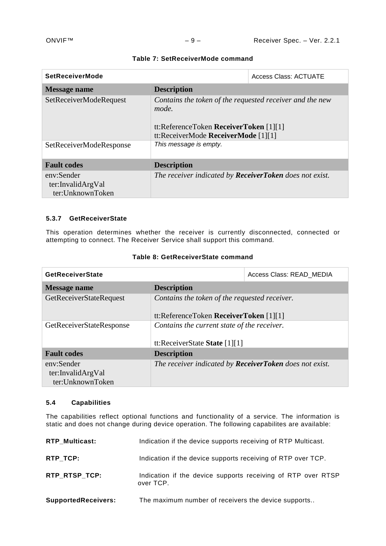| <b>SetReceiverMode</b>                              | <b>Access Class: ACTUATE</b>                                                                                                                       |  |  |
|-----------------------------------------------------|----------------------------------------------------------------------------------------------------------------------------------------------------|--|--|
| Message name                                        | <b>Description</b>                                                                                                                                 |  |  |
| SetReceiverModeRequest                              | Contains the token of the requested receiver and the new<br>mode.<br>tt:ReferenceToken ReceiverToken [1][1]<br>tt:ReceiverMode ReceiverMode [1][1] |  |  |
| SetReceiverModeResponse                             | This message is empty.                                                                                                                             |  |  |
| <b>Fault codes</b>                                  | <b>Description</b>                                                                                                                                 |  |  |
| env:Sender<br>ter:InvalidArgVal<br>ter:UnknownToken | The receiver indicated by <b>ReceiverToken</b> does not exist.                                                                                     |  |  |

#### **Table 7: SetReceiverMode command**

# <span id="page-8-0"></span>**5.3.7 GetReceiverState**

This operation determines whether the receiver is currently disconnected, connected or attempting to connect. The Receiver Service shall support this command.

| <b>GetReceiverState</b>                             |                                                                                         | Access Class: READ MEDIA |
|-----------------------------------------------------|-----------------------------------------------------------------------------------------|--------------------------|
| <b>Message name</b>                                 | <b>Description</b>                                                                      |                          |
| GetReceiverStateRequest                             | Contains the token of the requested receiver.<br>tt:ReferenceToken ReceiverToken [1][1] |                          |
| GetReceiverStateResponse                            | Contains the current state of the receiver.<br>tt:ReceiverState State [1][1]            |                          |
| <b>Fault codes</b>                                  | <b>Description</b>                                                                      |                          |
| env:Sender<br>ter:InvalidArgVal<br>ter:UnknownToken | The receiver indicated by <b>ReceiverToken</b> does not exist.                          |                          |

# **Table 8: GetReceiverState command**

# <span id="page-8-1"></span>**5.4 Capabilities**

The capabilities reflect optional functions and functionality of a service. The information is static and does not change during device operation. The following capabilites are available:

| <b>RTP Multicast:</b>      | Indication if the device supports receiving of RTP Multicast.             |
|----------------------------|---------------------------------------------------------------------------|
| RTP_TCP:                   | Indication if the device supports receiving of RTP over TCP.              |
| RTP RTSP TCP:              | Indication if the device supports receiving of RTP over RTSP<br>over TCP. |
| <b>SupportedReceivers:</b> | The maximum number of receivers the device supports                       |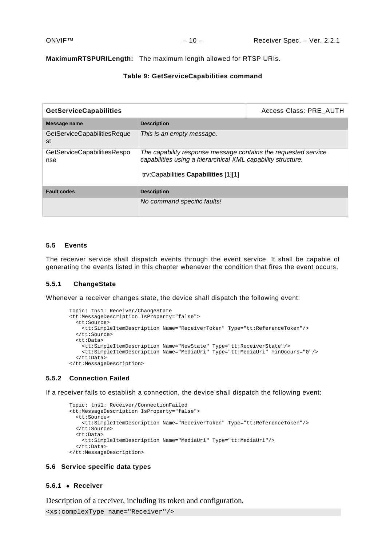#### **MaximumRTSPURILength:** The maximum length allowed for RTSP URIs.

# **Table 9: GetServiceCapabilities command**

| <b>GetServiceCapabilities</b>      |                                                                                                                                                                       | Access Class: PRE AUTH |  |
|------------------------------------|-----------------------------------------------------------------------------------------------------------------------------------------------------------------------|------------------------|--|
| Message name                       | <b>Description</b>                                                                                                                                                    |                        |  |
| GetServiceCapabilitiesReque<br>st  | This is an empty message.                                                                                                                                             |                        |  |
| GetServiceCapabilitiesRespo<br>nse | The capability response message contains the requested service<br>capabilities using a hierarchical XML capability structure.<br>trv:Capabilities Capabilities [1][1] |                        |  |
| <b>Fault codes</b>                 | <b>Description</b>                                                                                                                                                    |                        |  |
|                                    | No command specific faults!                                                                                                                                           |                        |  |

#### <span id="page-9-0"></span>**5.5 Events**

The receiver service shall dispatch events through the event service. It shall be capable of generating the events listed in this chapter whenever the condition that fires the event occurs.

#### <span id="page-9-1"></span>**5.5.1 ChangeState**

Whenever a receiver changes state, the device shall dispatch the following event:

```
Topic: tns1: Receiver/ChangeState
<tt:MessageDescription IsProperty="false"> 
  <tt:Source> 
     <tt:SimpleItemDescription Name="ReceiverToken" Type="tt:ReferenceToken"/> 
   </tt:Source> 
   <tt:Data> 
 <tt:SimpleItemDescription Name="NewState" Type="tt:ReceiverState"/>
 <tt:SimpleItemDescription Name="MediaUri" Type="tt:MediaUri" minOccurs="0"/>
  </tt:Data> 
</tt:MessageDescription>
```
#### <span id="page-9-2"></span>**5.5.2 Connection Failed**

If a receiver fails to establish a connection, the device shall dispatch the following event:

```
Topic: tns1: Receiver/ConnectionFailed
<tt:MessageDescription IsProperty="false"> 
  <tt:Source> 
     <tt:SimpleItemDescription Name="ReceiverToken" Type="tt:ReferenceToken"/> 
  </tt:Source> 
   <tt:Data> 
     <tt:SimpleItemDescription Name="MediaUri" Type="tt:MediaUri"/>
  </tt:Data> 
</tt:MessageDescription>
```
#### <span id="page-9-3"></span>**5.6 Service specific data types**

#### <span id="page-9-4"></span>**5.6.1** • **Receiver**

Description of a receiver, including its token and configuration.

```
<xs:complexType name="Receiver"/>
```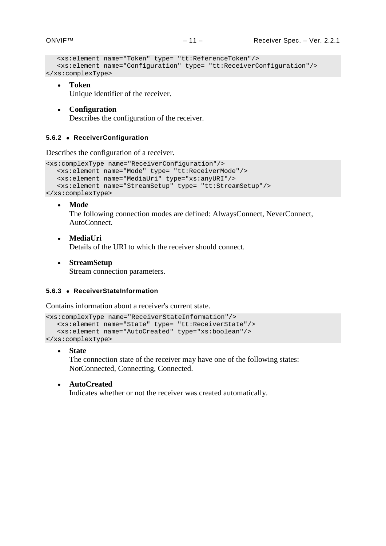```
<xs:element name="Token" type= "tt:ReferenceToken"/>
  <xs:element name="Configuration" type= "tt:ReceiverConfiguration"/>
</xs:complexType>
```
# • **Token**

Unique identifier of the receiver.

• **Configuration** Describes the configuration of the receiver.

# <span id="page-10-0"></span>**5.6.2** • **ReceiverConfiguration**

Describes the configuration of a receiver.

```
<xs:complexType name="ReceiverConfiguration"/>
   <xs:element name="Mode" type= "tt:ReceiverMode"/>
  <xs:element name="MediaUri" type="xs:anyURI"/>
   <xs:element name="StreamSetup" type= "tt:StreamSetup"/>
</xs:complexType>
```
• **Mode**

The following connection modes are defined: AlwaysConnect, NeverConnect, AutoConnect.

- **MediaUri** Details of the URI to which the receiver should connect.
- **StreamSetup** Stream connection parameters.

#### <span id="page-10-1"></span>**5.6.3** • **ReceiverStateInformation**

Contains information about a receiver's current state.

```
<xs:complexType name="ReceiverStateInformation"/>
   <xs:element name="State" type= "tt:ReceiverState"/>
   <xs:element name="AutoCreated" type="xs:boolean"/>
</xs:complexType>
```
• **State**

The connection state of the receiver may have one of the following states: NotConnected, Connecting, Connected.

• **AutoCreated**

Indicates whether or not the receiver was created automatically.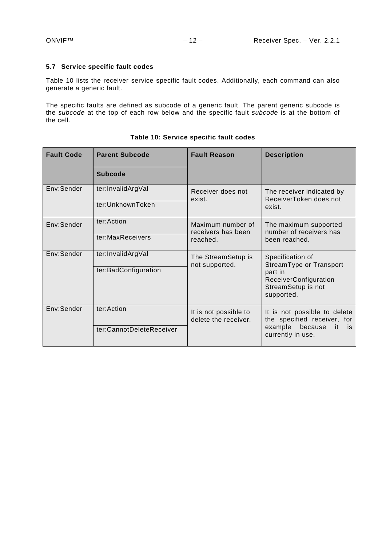# <span id="page-11-0"></span>**5.7 Service specific fault codes**

Table [10](#page-11-1) lists the receiver service specific fault codes. Additionally, each command can also generate a generic fault.

The specific faults are defined as subcode of a generic fault. The parent generic subcode is the *subcode* at the top of each row below and the specific fault *subcode* is at the bottom of the cell.

| <b>Fault Code</b> | <b>Parent Subcode</b>    | <b>Fault Reason</b>                           | <b>Description</b>                                                                                                    |
|-------------------|--------------------------|-----------------------------------------------|-----------------------------------------------------------------------------------------------------------------------|
|                   | <b>Subcode</b>           |                                               |                                                                                                                       |
| Env:Sender        | ter:InvalidArgVal        | Receiver does not<br>exist.                   | The receiver indicated by<br>ReceiverToken does not<br>exist.                                                         |
|                   | ter:UnknownToken         |                                               |                                                                                                                       |
| Env:Sender        | ter:Action               | Maximum number of<br>receivers has been       | The maximum supported<br>number of receivers has<br>been reached.                                                     |
|                   | ter:MaxReceivers         | reached.                                      |                                                                                                                       |
| Env:Sender        | ter:InvalidArgVal        | The StreamSetup is<br>not supported.          | Specification of<br>StreamType or Transport<br>part in<br>ReceiverConfiguration<br>StreamSetup is not<br>supported.   |
|                   | ter:BadConfiguration     |                                               |                                                                                                                       |
| Env:Sender        | ter:Action               | It is not possible to<br>delete the receiver. | It is not possible to delete<br>the specified receiver, for<br>example<br>because<br>it<br>is is<br>currently in use. |
|                   | ter:CannotDeleteReceiver |                                               |                                                                                                                       |

# <span id="page-11-1"></span>**Table 10: Service specific fault codes**